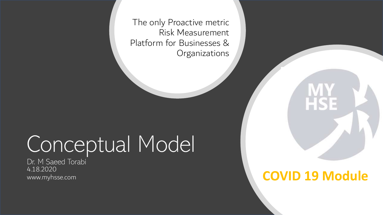The only Proactive metric Risk Measurement Platform for Businesses & **Organizations** 

# Conceptual Model

Dr. M Saeed Torabi 4.18.2020 www.myhsse.com

#### **COVID 19 Module**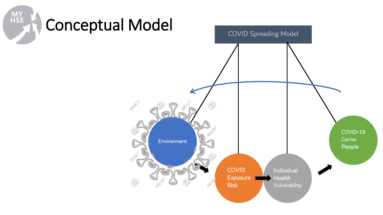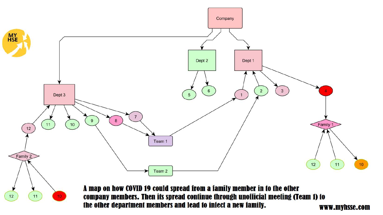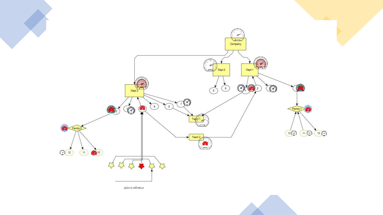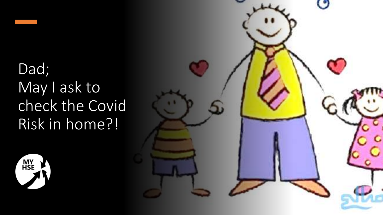## Dad; May I ask to check the Covid Risk in home?!



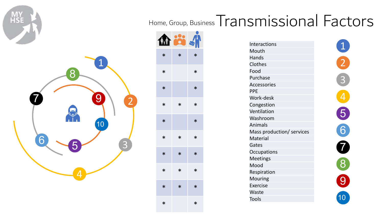HS

## Home, Group, Business Transmissional Factors



| M      |        |        |
|--------|--------|--------|
| $\ast$ | $\ast$ | $\ast$ |
| $\ast$ |        | $\ast$ |
| $\ast$ |        | $\ast$ |
| $\ast$ | $\ast$ | $\ast$ |
| $\ast$ |        | $\ast$ |
| $\ast$ | $\ast$ | $\ast$ |
| $\ast$ | $\ast$ | $\ast$ |
| $\ast$ | $\ast$ | $\ast$ |
| $\ast$ | $\ast$ | $\ast$ |
| $\ast$ |        | $\ast$ |

| <b>Interactions</b>       |
|---------------------------|
| Mouth                     |
| Hands                     |
| Clothes                   |
| Food                      |
| Purchase                  |
| <b>Accessories</b>        |
| <b>PPE</b>                |
| Work-desk                 |
| Congestion                |
| Ventilation               |
| Washroom                  |
| Animals                   |
| Mass production/ services |
| <b>Material</b>           |
| Gates                     |
| Occupations               |
| <b>Meetings</b>           |
| Mood                      |
| Respiration               |
| Mouring                   |
| Exercise                  |
| Waste                     |
| Tools                     |

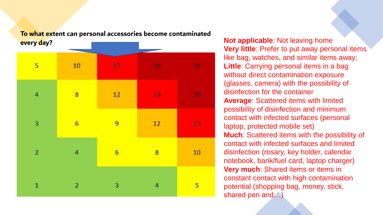

**To what extent can personal accessories become contaminated** 

**Very little**: Prefer to put away personal items like bag, watches, and similar items away; **Little**: Carrying personal items in a bag without direct contamination exposure (glasses, camera) with the possibility of disinfection for the container **Average**: Scattered items with limited possibility of disinfection and minimum contact with infected surfaces (personal laptop, protected mobile set) **Much**: Scattered items with the possibility of contact with infected surfaces and limited disinfection (rosary, key holder, calendar notebook, bank/fuel card, laptop charger) **Very much**: Shared items or items in constant contact with high contamination potential (shopping bag, money, stick, shared pen and…)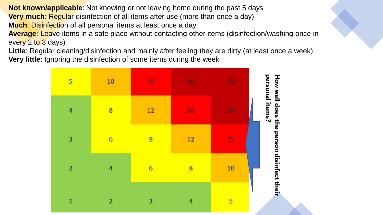**Not known/applicable**: Not knowing or not leaving home during the past 5 days **Very much:** Regular disinfection of all items after use (more than once a day) **Much**: Disinfection of all personal items at least once a day **Average**: Leave items in a safe place without contacting other items (disinfection/washing once in every 2 to 3 days)

**Little**: Regular cleaning/disinfection and mainly after feeling they are dirty (at least once a week) **Very little**: Ignoring the disinfection of some items during the week

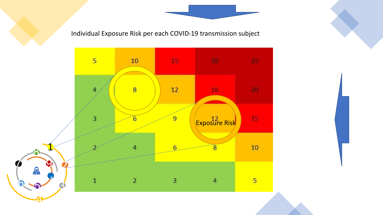Individual Exposure Risk per each COVID-19 transmission subject

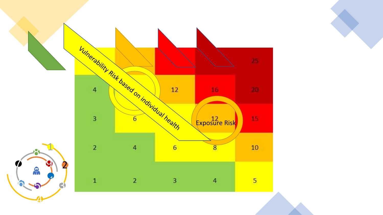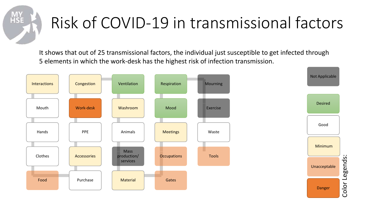

## Risk of COVID-19 in transmissional factors

It shows that out of 25 transmissional factors, the individual just susceptible to get infected through 5 elements in which the work-desk has the highest risk of infection transmission.

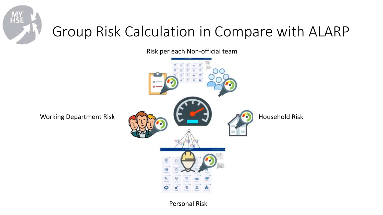

### Group Risk Calculation in Compare with ALARP

Risk per each Non-official team



Personal Risk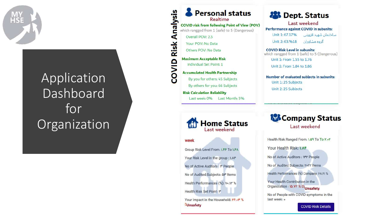

#### Application Dashboard for Organization

**Personal status** Realtime **COVID risk from follwoing Point of View (POV)** which rangged from 1 (safe) to 5 (Dangerous) Overall POV: 2.5

nalysis

 $\overline{\mathbf{A}}$ 

**Risk** 

alvo:

Your POV: No Data Others POV: No Data

**Maximum Acceptable Risk** Individual Set Point: 1

**Accumulated Health Partnership** By you for others: 45 Subjects By others for you: 66 Subjects

**Risk Calculation Reliability** Last week: 0% Last Month: 5% **28 Dept. Status** 

Last weekend Performance against COVID in subunits: ساختمان شهيد قزويني Unit 1: 67.17% گروه مشاوران Unit 2:63.%18

**COVID Risk Level in subunits:** which rangged from 1 (safe) to 5 (Dangerous) Unit 1: From 1.55 to 1.76 Unit 2: From 1.84 to 1.86

Number of evaluated subjects in subunits: Unit 1: 25 Subjects Unit 2: 25 Subjects



week

Group Risk Level From: I.FF To I.FA

Your Risk Level in the group : I.AF

No of Active Auditors : \ People

No of Audited Subjects: Qr Items

Health Performances (%): Yo. II" %

Health Risk Set Point: \"

Your Impact in the Household: YF. . Y % **LUnsafety** 

**Company Status** Last weekend

Health Risk Ranged From: 1.69 To To Y...Y

Your Health Risk: I.AF

No of Active Auditors : IPP People

No of Audited Subjects: YoYY Items

Health Performances (%) Company: FA.YI %

Your Health Contribution in the Organization : 10.YY % Di<sub>Unsafety</sub>

No of People with COVID symptoms in the last week: «

**COVID Risk Details**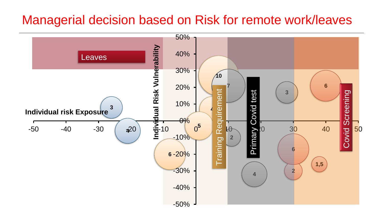#### Managerial decision based on Risk for remote work/leaves